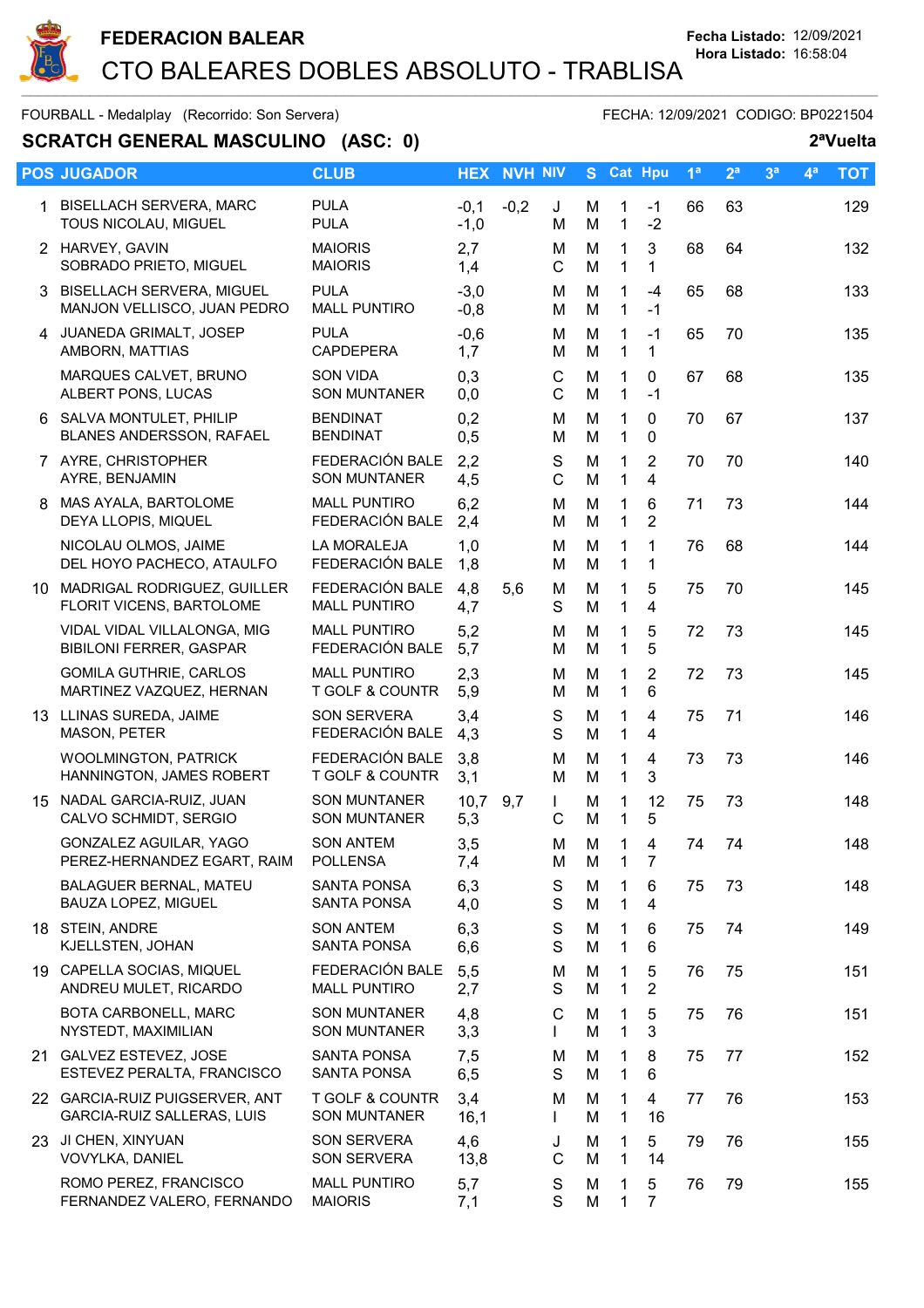

# **SCRATCH GENERAL MASCULINO (ASC: 0)** 2<sup>a</sup>Vuelta

|    | <b>POS JUGADOR</b>                                            | <b>CLUB</b>                                | <b>HEX</b>       | <b>NVH NIV</b> |                   |        | S Cat Hpu                    |                     | 1 <sup>a</sup> | 2 <sup>a</sup> | 3 <sup>a</sup> | 4 <sup>a</sup> | <b>TOT</b> |
|----|---------------------------------------------------------------|--------------------------------------------|------------------|----------------|-------------------|--------|------------------------------|---------------------|----------------|----------------|----------------|----------------|------------|
|    | 1 BISELLACH SERVERA, MARC<br>TOUS NICOLAU, MIGUEL             | <b>PULA</b><br><b>PULA</b>                 | $-0,1$<br>$-1,0$ | $-0,2$         | J<br>M            | M<br>M | $\mathbf{1}$<br>$\mathbf{1}$ | $-1$<br>$-2$        | 66             | 63             |                |                | 129        |
|    | 2 HARVEY, GAVIN<br>SOBRADO PRIETO, MIGUEL                     | <b>MAIORIS</b><br><b>MAIORIS</b>           | 2,7<br>1,4       |                | м<br>C            | M<br>M | 1<br>$\mathbf{1}$            | 3<br>1              | 68             | 64             |                |                | 132        |
|    | 3 BISELLACH SERVERA, MIGUEL<br>MANJON VELLISCO, JUAN PEDRO    | <b>PULA</b><br><b>MALL PUNTIRO</b>         | $-3,0$<br>$-0,8$ |                | M<br>м            | M<br>M | $\mathbf{1}$<br>$\mathbf{1}$ | $-4$<br>$-1$        | 65             | 68             |                |                | 133        |
| 4  | JUANEDA GRIMALT, JOSEP<br>AMBORN, MATTIAS                     | <b>PULA</b><br><b>CAPDEPERA</b>            | $-0,6$<br>1,7    |                | м<br>м            | M<br>M | $\mathbf 1$<br>$\mathbf 1$   | $-1$<br>1           | 65             | 70             |                |                | 135        |
|    | MARQUES CALVET, BRUNO<br>ALBERT PONS, LUCAS                   | <b>SON VIDA</b><br><b>SON MUNTANER</b>     | 0,3<br>0,0       |                | $\mathsf C$<br>C  | M<br>M | 1<br>$\mathbf{1}$            | 0<br>$-1$           | 67             | 68             |                |                | 135        |
|    | 6 SALVA MONTULET, PHILIP<br>BLANES ANDERSSON, RAFAEL          | <b>BENDINAT</b><br><b>BENDINAT</b>         | 0,2<br>0,5       |                | м<br>M            | M<br>M | $\mathbf{1}$<br>$\mathbf{1}$ | 0<br>$\mathbf 0$    | 70             | 67             |                |                | 137        |
|    | 7 AYRE, CHRISTOPHER<br>AYRE, BENJAMIN                         | FEDERACIÓN BALE<br><b>SON MUNTANER</b>     | 2,2<br>4,5       |                | S<br>C            | M<br>M | 1<br>$\mathbf{1}$            | $\overline{2}$<br>4 | 70             | 70             |                |                | 140        |
| 8  | MAS AYALA, BARTOLOME<br>DEYA LLOPIS, MIQUEL                   | <b>MALL PUNTIRO</b><br>FEDERACIÓN BALE     | 6,2<br>2,4       |                | м<br>м            | M<br>M | $\mathbf{1}$<br>$\mathbf{1}$ | 6<br>$\overline{2}$ | 71             | 73             |                |                | 144        |
|    | NICOLAU OLMOS, JAIME<br>DEL HOYO PACHECO, ATAULFO             | <b>LA MORALEJA</b><br>FEDERACIÓN BALE      | 1,0<br>1,8       |                | M<br>M            | M<br>M | 1<br>$\mathbf{1}$            | 1<br>1              | 76             | 68             |                |                | 144        |
|    | 10 MADRIGAL RODRIGUEZ, GUILLER<br>FLORIT VICENS, BARTOLOME    | FEDERACIÓN BALE<br><b>MALL PUNTIRO</b>     | 4,8<br>4,7       | 5,6            | M<br>S            | M<br>M | $\mathbf{1}$<br>$\mathbf{1}$ | 5<br>4              | 75             | 70             |                |                | 145        |
|    | VIDAL VIDAL VILLALONGA, MIG<br><b>BIBILONI FERRER, GASPAR</b> | <b>MALL PUNTIRO</b><br>FEDERACIÓN BALE     | 5,2<br>5,7       |                | M<br>м            | M<br>M | 1<br>$\mathbf{1}$            | 5<br>5              | 72             | 73             |                |                | 145        |
|    | <b>GOMILA GUTHRIE, CARLOS</b><br>MARTINEZ VAZQUEZ, HERNAN     | <b>MALL PUNTIRO</b><br>T GOLF & COUNTR     | 2,3<br>5,9       |                | М<br>M            | M<br>M | 1<br>$\mathbf{1}$            | $\overline{2}$<br>6 | 72             | 73             |                |                | 145        |
|    | 13 LLINAS SUREDA, JAIME<br>MASON, PETER                       | SON SERVERA<br>FEDERACIÓN BALE             | 3,4<br>4,3       |                | S<br>S            | M<br>M | 1<br>$\mathbf{1}$            | 4<br>4              | 75             | 71             |                |                | 146        |
|    | <b>WOOLMINGTON, PATRICK</b><br>HANNINGTON, JAMES ROBERT       | FEDERACIÓN BALE<br>T GOLF & COUNTR         | 3,8<br>3,1       |                | M<br>м            | M<br>M | 1<br>$\mathbf{1}$            | $\overline{4}$<br>3 | 73             | 73             |                |                | 146        |
| 15 | NADAL GARCIA-RUIZ, JUAN<br>CALVO SCHMIDT, SERGIO              | <b>SON MUNTANER</b><br><b>SON MUNTANER</b> | 10,7<br>5,3      | 9,7            | $\mathbf{L}$<br>C | M<br>M | 1<br>1                       | 12<br>5             | 75             | 73             |                |                | 148        |
|    | GONZALEZ AGUILAR, YAGO<br>PEREZ-HERNANDEZ EGART, RAIM         | <b>SON ANTEM</b><br><b>POLLENSA</b>        | 3,5<br>7,4       |                | M<br>M            | M<br>M | 1<br>$\mathbf{1}$            | $\overline{4}$<br>7 | 74             | 74             |                |                | 148        |
|    | <b>BALAGUER BERNAL, MATEU</b><br><b>BAUZA LOPEZ, MIGUEL</b>   | <b>SANTA PONSA</b><br>SANTA PONSA          | 6,3<br>4,0       |                | S<br>S            | M<br>M | 1<br>$\mathbf{1}$            | 6<br>4              | 75             | 73             |                |                | 148        |
|    | 18 STEIN, ANDRE<br>KJELLSTEN, JOHAN                           | <b>SON ANTEM</b><br><b>SANTA PONSA</b>     | 6,3<br>6,6       |                | S<br>S            | M<br>M | 1<br>$\mathbf{1}$            | 6<br>6              | 75             | 74             |                |                | 149        |
|    | 19 CAPELLA SOCIAS, MIQUEL<br>ANDREU MULET, RICARDO            | FEDERACIÓN BALE<br><b>MALL PUNTIRO</b>     | 5,5<br>2,7       |                | M<br>S            | M<br>M | $\mathbf 1$<br>$\mathbf{1}$  | 5<br>2              | 76             | 75             |                |                | 151        |
|    | BOTA CARBONELL, MARC<br>NYSTEDT, MAXIMILIAN                   | <b>SON MUNTANER</b><br><b>SON MUNTANER</b> | 4,8<br>3,3       |                | C<br>$\mathbf{I}$ | M<br>M | 1<br>$\mathbf{1}$            | 5<br>3              | 75             | 76             |                |                | 151        |
|    | 21 GALVEZ ESTEVEZ, JOSE<br>ESTEVEZ PERALTA, FRANCISCO         | <b>SANTA PONSA</b><br>SANTA PONSA          | 7,5<br>6,5       |                | M<br>S            | M<br>M | 1<br>$\mathbf{1}$            | 8<br>6              | 75             | 77             |                |                | 152        |
|    | 22 GARCIA-RUIZ PUIGSERVER, ANT<br>GARCIA-RUIZ SALLERAS, LUIS  | T GOLF & COUNTR<br><b>SON MUNTANER</b>     | 3,4<br>16,1      |                | M<br>$\mathbf{I}$ | M<br>M | $\mathbf 1$<br>$\mathbf{1}$  | 4<br>16             | 77             | 76             |                |                | 153        |
|    | 23 JI CHEN, XINYUAN<br>VOVYLKA, DANIEL                        | SON SERVERA<br>SON SERVERA                 | 4,6<br>13,8      |                | J<br>C            | M<br>M | 1<br>$\mathbf{1}$            | 5<br>14             | 79             | 76             |                |                | 155        |
|    | ROMO PEREZ, FRANCISCO<br>FERNANDEZ VALERO, FERNANDO           | <b>MALL PUNTIRO</b><br><b>MAIORIS</b>      | 5,7<br>7,1       |                | S<br>S            | M<br>M | 1<br>1                       | 5<br>$\overline{7}$ | 76             | 79             |                |                | 155        |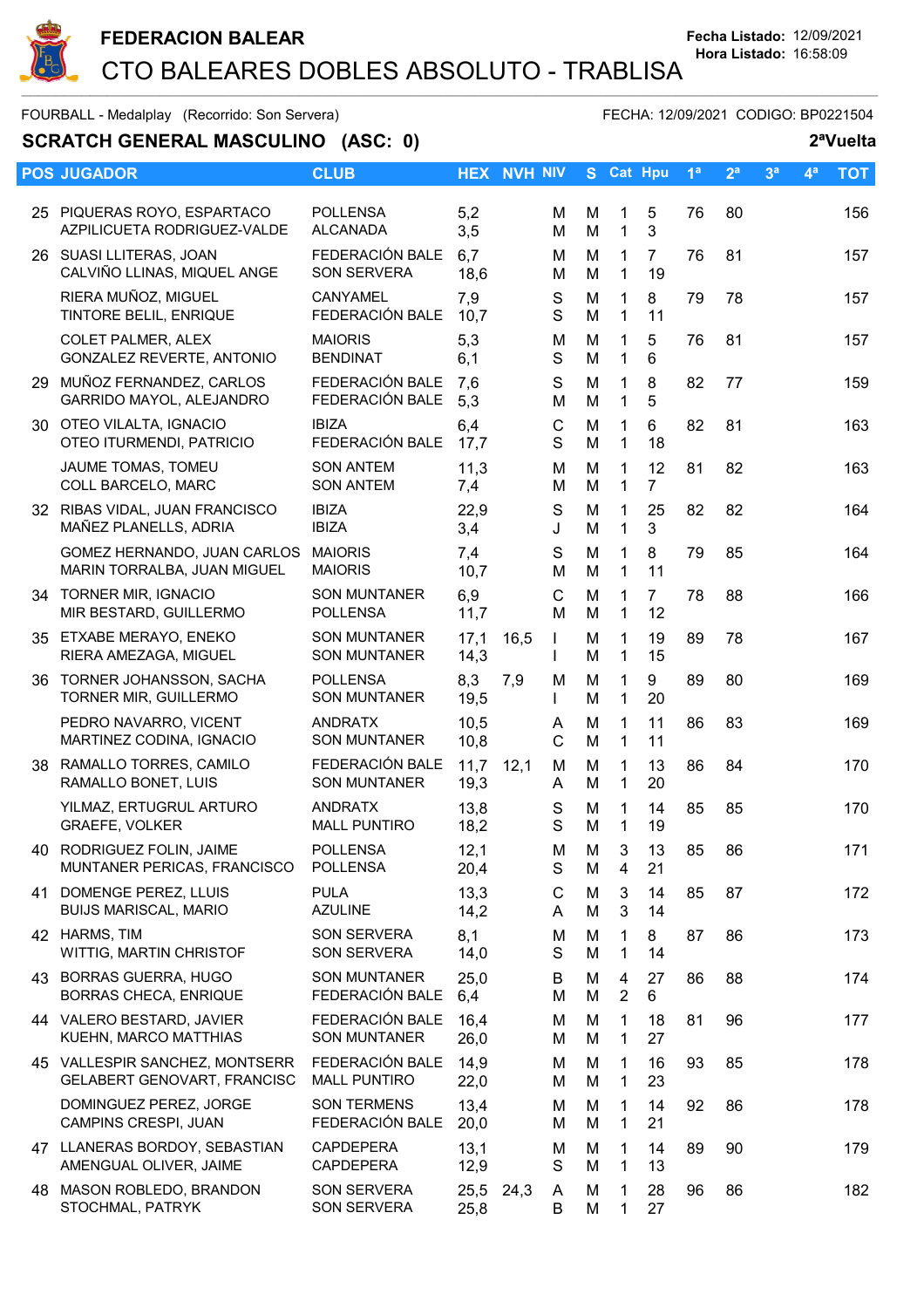

# **SCRATCH GENERAL MASCULINO (ASC: 0)** 2<sup>a</sup>Vuelta

| <b>POS JUGADOR</b>                                                   |                                            |              | <b>HEX NVH NIV</b> |                              |        | S Cat Hpu                    |                      | 1 <sup>a</sup> | 2 <sup>a</sup> | 3 <sup>a</sup> | 4 <sup>a</sup> | <b>TOT</b> |
|----------------------------------------------------------------------|--------------------------------------------|--------------|--------------------|------------------------------|--------|------------------------------|----------------------|----------------|----------------|----------------|----------------|------------|
|                                                                      | <b>CLUB</b>                                |              |                    |                              |        |                              |                      |                |                |                |                |            |
| 25 PIQUERAS ROYO, ESPARTACO<br>AZPILICUETA RODRIGUEZ-VALDE           | <b>POLLENSA</b><br><b>ALCANADA</b>         | 5,2<br>3,5   |                    | м<br>M                       | M<br>M | 1<br>$\mathbf{1}$            | 5<br>3               | 76             | 80             |                |                | 156        |
| 26 SUASI LLITERAS, JOAN<br>CALVIÑO LLINAS, MIQUEL ANGE               | FEDERACIÓN BALE<br><b>SON SERVERA</b>      | 6,7<br>18,6  |                    | M<br>м                       | M<br>M | 1<br>$\mathbf{1}$            | $\overline{7}$<br>19 | 76             | 81             |                |                | 157        |
| RIERA MUÑOZ, MIGUEL<br>TINTORE BELIL, ENRIQUE                        | <b>CANYAMEL</b><br>FEDERACIÓN BALE         | 7,9<br>10,7  |                    | S<br>S                       | M<br>M | 1<br>$\mathbf{1}$            | 8<br>11              | 79             | 78             |                |                | 157        |
| <b>COLET PALMER, ALEX</b><br>GONZALEZ REVERTE, ANTONIO               | <b>MAIORIS</b><br><b>BENDINAT</b>          | 5,3<br>6,1   |                    | M<br>S                       | M<br>M | 1<br>$\mathbf{1}$            | 5<br>6               | 76             | 81             |                |                | 157        |
| 29 MUÑOZ FERNANDEZ, CARLOS<br>GARRIDO MAYOL, ALEJANDRO               | FEDERACIÓN BALE<br>FEDERACIÓN BALE         | 7,6<br>5,3   |                    | S<br>M                       | M<br>M | 1<br>$\mathbf{1}$            | 8<br>5               | 82             | 77             |                |                | 159        |
| 30 OTEO VILALTA, IGNACIO<br>OTEO ITURMENDI, PATRICIO                 | <b>IBIZA</b><br>FEDERACIÓN BALE            | 6,4<br>17,7  |                    | C<br>S                       | M<br>M | $\mathbf{1}$<br>$\mathbf{1}$ | 6<br>18              | 82             | 81             |                |                | 163        |
| JAUME TOMAS, TOMEU<br>COLL BARCELO, MARC                             | <b>SON ANTEM</b><br><b>SON ANTEM</b>       | 11,3<br>7,4  |                    | M<br>M                       | M<br>M | 1<br>$\mathbf{1}$            | 12<br>$\overline{7}$ | 81             | 82             |                |                | 163        |
| 32 RIBAS VIDAL, JUAN FRANCISCO<br>MAÑEZ PLANELLS, ADRIA              | <b>IBIZA</b><br><b>IBIZA</b>               | 22,9<br>3,4  |                    | S<br>J                       | M<br>M | 1<br>$\mathbf{1}$            | 25<br>3              | 82             | 82             |                |                | 164        |
| GOMEZ HERNANDO, JUAN CARLOS<br>MARIN TORRALBA, JUAN MIGUEL           | <b>MAIORIS</b><br><b>MAIORIS</b>           | 7,4<br>10,7  |                    | S<br>M                       | M<br>M | 1<br>$\mathbf{1}$            | 8<br>11              | 79             | 85             |                |                | 164        |
| 34 TORNER MIR, IGNACIO<br>MIR BESTARD, GUILLERMO                     | <b>SON MUNTANER</b><br><b>POLLENSA</b>     | 6,9<br>11,7  |                    | C<br>M                       | M<br>M | 1<br>$\mathbf{1}$            | $\overline{7}$<br>12 | 78             | 88             |                |                | 166        |
| 35 ETXABE MERAYO, ENEKO<br>RIERA AMEZAGA, MIGUEL                     | <b>SON MUNTANER</b><br><b>SON MUNTANER</b> | 17,1<br>14,3 | 16,5               | $\mathbf{I}$<br>$\mathbf{I}$ | M<br>M | 1<br>$\mathbf{1}$            | 19<br>15             | 89             | 78             |                |                | 167        |
| 36 TORNER JOHANSSON, SACHA<br>TORNER MIR, GUILLERMO                  | <b>POLLENSA</b><br><b>SON MUNTANER</b>     | 8,3<br>19,5  | 7,9                | M<br>$\mathbf{I}$            | M<br>M | $\mathbf{1}$<br>$\mathbf{1}$ | 9<br>20              | 89             | 80             |                |                | 169        |
| PEDRO NAVARRO, VICENT<br>MARTINEZ CODINA, IGNACIO                    | <b>ANDRATX</b><br><b>SON MUNTANER</b>      | 10,5<br>10,8 |                    | A<br>C                       | M<br>M | 1<br>$\mathbf{1}$            | 11<br>11             | 86             | 83             |                |                | 169        |
| 38 RAMALLO TORRES, CAMILO<br>RAMALLO BONET, LUIS                     | FEDERACIÓN BALE<br><b>SON MUNTANER</b>     | 11,7<br>19,3 | 12,1               | м<br>A                       | M<br>M | 1<br>$\mathbf{1}$            | 13<br>20             | 86             | 84             |                |                | 170        |
| YILMAZ, ERTUGRUL ARTURO<br>GRAEFE, VOLKER                            | <b>ANDRATX</b><br><b>MALL PUNTIRO</b>      | 13,8<br>18,2 |                    | S<br>S                       | M<br>M | 1<br>$\mathbf{1}$            | 14<br>19             | 85             | 85             |                |                | 170        |
| 40 RODRIGUEZ FOLIN, JAIME<br>MUNTANER PERICAS, FRANCISCO             | <b>POLLENSA</b><br><b>POLLENSA</b>         | 12,1<br>20,4 |                    | M<br>S                       | M<br>М | 3 <sup>1</sup><br>4          | 13<br>21             | 85             | 86             |                |                | 171        |
| 41 DOMENGE PEREZ, LLUIS<br><b>BUIJS MARISCAL, MARIO</b>              | <b>PULA</b><br><b>AZULINE</b>              | 13,3<br>14,2 |                    | С<br>A                       | M<br>M | 3<br>3                       | 14<br>14             | 85             | 87             |                |                | 172        |
| 42 HARMS, TIM<br>WITTIG, MARTIN CHRISTOF                             | SON SERVERA<br>SON SERVERA                 | 8,1<br>14,0  |                    | M<br>S                       | M<br>M | 1<br>$\mathbf{1}$            | 8<br>14              | 87             | 86             |                |                | 173        |
| 43 BORRAS GUERRA, HUGO<br><b>BORRAS CHECA, ENRIQUE</b>               | <b>SON MUNTANER</b><br>FEDERACIÓN BALE     | 25,0<br>6,4  |                    | B<br>M                       | M<br>M | 4<br>$\overline{2}$          | 27<br>6              | 86             | 88             |                |                | 174        |
| 44 VALERO BESTARD, JAVIER<br>KUEHN, MARCO MATTHIAS                   | FEDERACIÓN BALE<br><b>SON MUNTANER</b>     | 16,4<br>26,0 |                    | м<br>M                       | M<br>M | 1<br>1                       | 18<br>27             | 81             | 96             |                |                | 177        |
| 45 VALLESPIR SANCHEZ, MONTSERR<br><b>GELABERT GENOVART, FRANCISC</b> | FEDERACIÓN BALE<br><b>MALL PUNTIRO</b>     | 14,9<br>22,0 |                    | M<br>м                       | M<br>M | 1<br>1                       | 16<br>23             | 93             | 85             |                |                | 178        |
| DOMINGUEZ PEREZ, JORGE<br>CAMPINS CRESPI, JUAN                       | <b>SON TERMENS</b><br>FEDERACIÓN BALE      | 13,4<br>20,0 |                    | м<br>м                       | M<br>M | 1<br>$\mathbf{1}$            | 14<br>21             | 92             | 86             |                |                | 178        |
| 47 LLANERAS BORDOY, SEBASTIAN<br>AMENGUAL OLIVER, JAIME              | <b>CAPDEPERA</b><br><b>CAPDEPERA</b>       | 13,1<br>12,9 |                    | м<br>S                       | M<br>M | 1<br>1                       | 14<br>13             | 89             | 90             |                |                | 179        |
| 48 MASON ROBLEDO, BRANDON<br>STOCHMAL, PATRYK                        | <b>SON SERVERA</b><br><b>SON SERVERA</b>   | 25,5<br>25,8 | 24,3               | A<br>B                       | M<br>M | 1<br>1                       | 28<br>27             | 96             | 86             |                |                | 182        |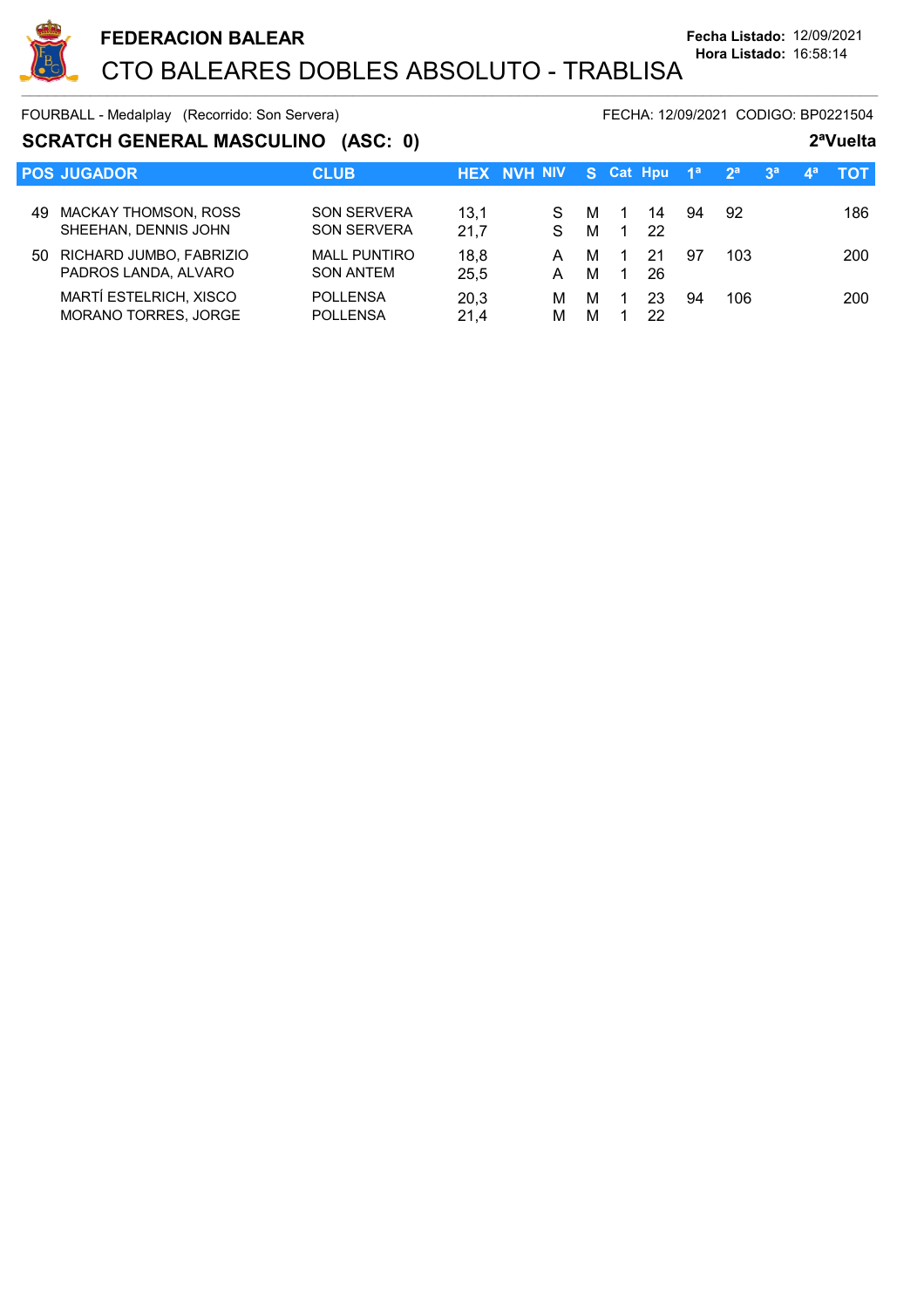

### **SCRATCH GENERAL MASCULINO (ASC: 0) 2ªVuelta**

|     | <b>POS JUGADOR</b>                                  | <b>CLUB</b>                              |              | <b>HEX NVH NIV</b> | S Cat Hpu                            | —1ª            | $-2^a$ |     | $-3a$ | $\mathbf{4}^{\mathsf{a}}$ | тот |
|-----|-----------------------------------------------------|------------------------------------------|--------------|--------------------|--------------------------------------|----------------|--------|-----|-------|---------------------------|-----|
| 49. | <b>MACKAY THOMSON, ROSS</b><br>SHEEHAN, DENNIS JOHN | <b>SON SERVERA</b><br><b>SON SERVERA</b> | 13.1<br>21.7 | S.<br>м<br>м<br>S. | $\overline{1}$<br>-22<br>$\mathbf 1$ | 94<br>14       |        | 92  |       |                           | 186 |
| 50  | RICHARD JUMBO, FABRIZIO<br>PADROS LANDA, ALVARO     | <b>MALL PUNTIRO</b><br><b>SON ANTEM</b>  | 18,8<br>25,5 | м<br>A<br>м<br>А   | 21<br>$\mathbf{1}$                   | 97<br>26       |        | 103 |       |                           | 200 |
|     | MARTÍ ESTELRICH, XISCO<br>MORANO TORRES, JORGE      | <b>POLLENSA</b><br><b>POLLENSA</b>       | 20,3<br>21.4 | м<br>м<br>М<br>м   |                                      | 23<br>94<br>22 |        | 106 |       |                           | 200 |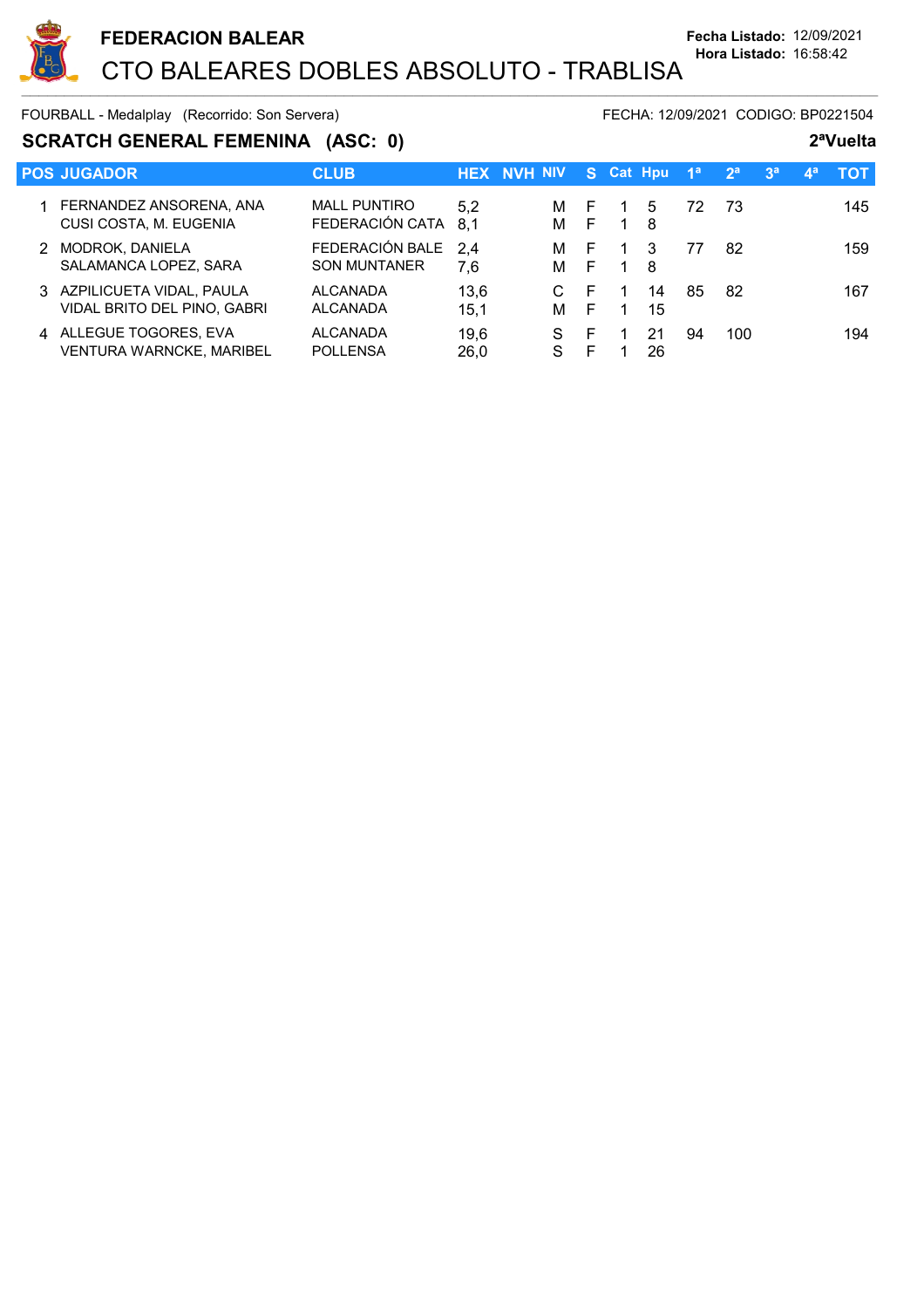

### **SCRATCH GENERAL FEMENINA** (ASC: 0) 2<sup>a</sup>Vuelta

|               | <b>POS JUGADOR</b>                                        | <b>CLUB</b>                            |              | <b>HEX NVH NIV</b> |        | S Cat Hpu      |          | 1 <sup>a</sup> | 2 <sup>a</sup> | 3 <sup>a</sup> | $\mathbf{A}^{\mathbf{a}}$ | тот |
|---------------|-----------------------------------------------------------|----------------------------------------|--------------|--------------------|--------|----------------|----------|----------------|----------------|----------------|---------------------------|-----|
|               | 1 FERNANDEZ ANSORENA, ANA<br>CUSI COSTA, M. EUGENIA       | <b>MALL PUNTIRO</b><br>FEDERACIÓN CATA | 5.2<br>8.1   | м<br>м             | E<br>F | $\overline{1}$ | 5<br>8   | 72             | -73            |                |                           | 145 |
| $\mathcal{P}$ | MODROK, DANIELA<br>SALAMANCA LOPEZ, SARA                  | FEDERACIÓN BALE<br><b>SON MUNTANER</b> | 2.4<br>7.6   | м<br>м             | E<br>E |                | 3<br>8   | 77             | 82             |                |                           | 159 |
|               | 3 AZPILICUETA VIDAL, PAULA<br>VIDAL BRITO DEL PINO, GABRI | <b>ALCANADA</b><br><b>ALCANADA</b>     | 13.6<br>15.1 | м                  | E<br>E |                | 14<br>15 | 85             | 82             |                |                           | 167 |
|               | 4 ALLEGUE TOGORES, EVA<br><b>VENTURA WARNCKE, MARIBEL</b> | <b>ALCANADA</b><br><b>POLLENSA</b>     | 19,6<br>26,0 | S.<br>S            | F<br>F |                | 21<br>26 | 94             | 100            |                |                           | 194 |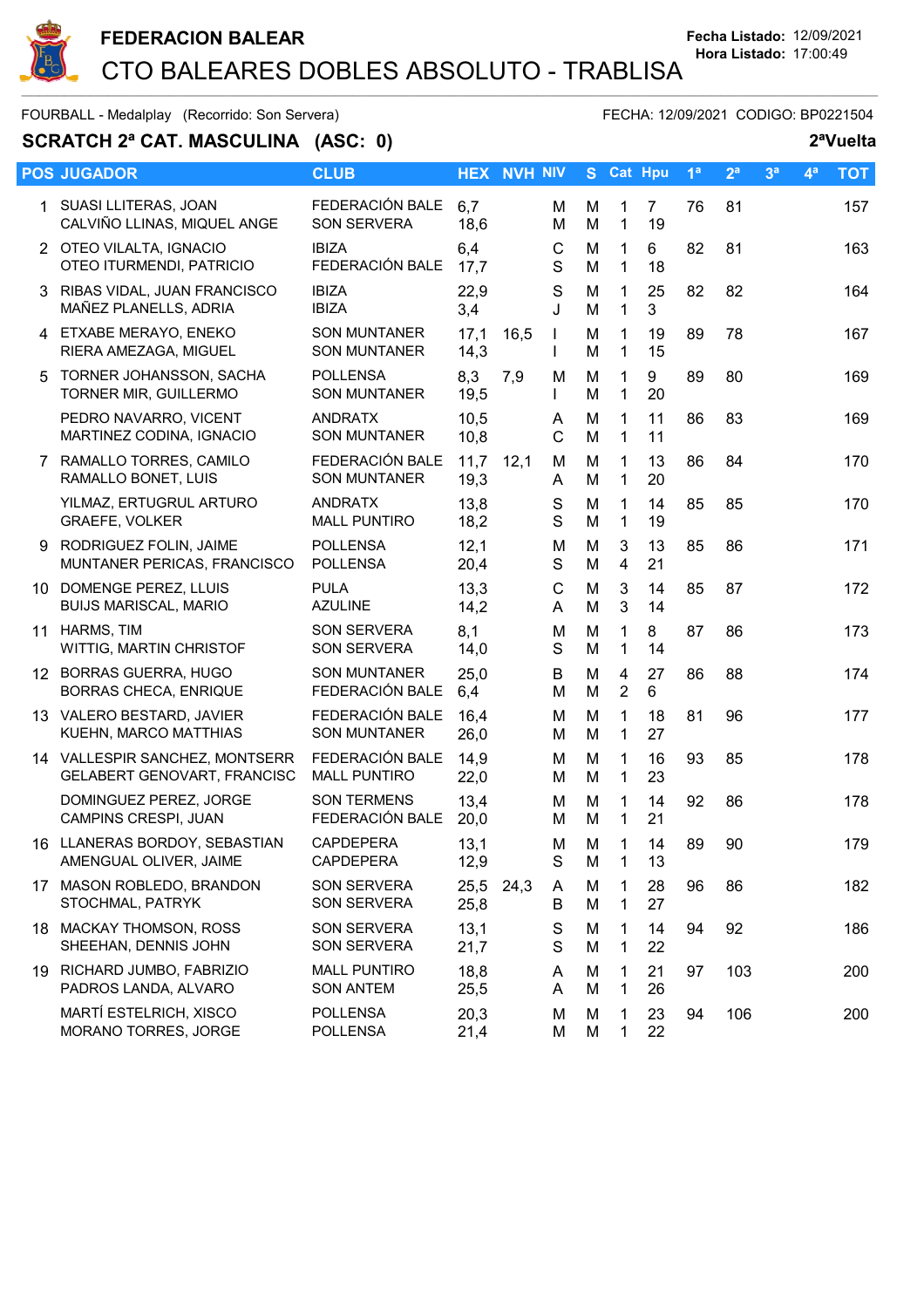

 $\sim$  . The contribution of the contribution of the contribution of the contribution of the contribution of the contribution of the contribution of the contribution of the contribution of the contribution of the contributi

FOURBALL - Medalplay (Recorrido: Son Servera) FECHA: 12/09/2021 CODIGO: BP0221504

# **SCRATCH 2ª CAT. MASCULINA** (ASC: 0) 2<sup>a</sup>Vuelta

|   | <b>POS JUGADOR</b>                                            | <b>CLUB</b>                                |              | <b>HEX NVH NIV</b> |                   |        |                             | S Cat Hpu            | 1 <sup>a</sup> | 2 <sup>a</sup> | 3 <sup>a</sup> | 4 <sup>a</sup> | <b>TOT</b> |
|---|---------------------------------------------------------------|--------------------------------------------|--------------|--------------------|-------------------|--------|-----------------------------|----------------------|----------------|----------------|----------------|----------------|------------|
|   | 1 SUASI LLITERAS, JOAN<br>CALVIÑO LLINAS, MIQUEL ANGE         | FEDERACIÓN BALE<br><b>SON SERVERA</b>      | 6,7<br>18,6  |                    | м<br>M            | M<br>M | 1<br>$\mathbf{1}$           | $\overline{7}$<br>19 | 76             | 81             |                |                | 157        |
|   | 2 OTEO VILALTA, IGNACIO<br>OTEO ITURMENDI, PATRICIO           | <b>IBIZA</b><br>FEDERACIÓN BALE            | 6,4<br>17,7  |                    | C<br>S            | M<br>M | 1<br>1                      | 6<br>18              | 82             | 81             |                |                | 163        |
| 3 | RIBAS VIDAL, JUAN FRANCISCO<br>MAÑEZ PLANELLS, ADRIA          | <b>IBIZA</b><br><b>IBIZA</b>               | 22,9<br>3,4  |                    | S<br>J            | M<br>M | 1<br>$\mathbf{1}$           | 25<br>3              | 82             | 82             |                |                | 164        |
|   | 4 ETXABE MERAYO, ENEKO<br>RIERA AMEZAGA, MIGUEL               | <b>SON MUNTANER</b><br><b>SON MUNTANER</b> | 17,1<br>14,3 | 16,5               | $\mathbf{I}$<br>T | M<br>M | 1<br>$\mathbf{1}$           | 19<br>15             | 89             | 78             |                |                | 167        |
| 5 | TORNER JOHANSSON, SACHA<br>TORNER MIR, GUILLERMO              | <b>POLLENSA</b><br><b>SON MUNTANER</b>     | 8,3<br>19,5  | 7,9                | M<br>L            | M<br>M | 1<br>$\mathbf{1}$           | 9<br>20              | 89             | 80             |                |                | 169        |
|   | PEDRO NAVARRO, VICENT<br>MARTINEZ CODINA, IGNACIO             | <b>ANDRATX</b><br><b>SON MUNTANER</b>      | 10,5<br>10,8 |                    | A<br>C            | M<br>M | $\mathbf{1}$<br>$\mathbf 1$ | 11<br>11             | 86             | 83             |                |                | 169        |
|   | 7 RAMALLO TORRES, CAMILO<br>RAMALLO BONET, LUIS               | FEDERACIÓN BALE<br><b>SON MUNTANER</b>     | 11,7<br>19,3 | 12,1               | м<br>A            | M<br>M | 1<br>1                      | 13<br>20             | 86             | 84             |                |                | 170        |
|   | YILMAZ, ERTUGRUL ARTURO<br><b>GRAEFE, VOLKER</b>              | <b>ANDRATX</b><br><b>MALL PUNTIRO</b>      | 13,8<br>18,2 |                    | $\mathbb S$<br>S  | M<br>M | 1<br>$\mathbf{1}$           | 14<br>19             | 85             | 85             |                |                | 170        |
| 9 | RODRIGUEZ FOLIN, JAIME<br>MUNTANER PERICAS, FRANCISCO         | <b>POLLENSA</b><br><b>POLLENSA</b>         | 12,1<br>20,4 |                    | M<br>S            | M<br>M | 3<br>$\overline{4}$         | 13<br>21             | 85             | 86             |                |                | 171        |
|   | 10 DOMENGE PEREZ, LLUIS<br><b>BUIJS MARISCAL, MARIO</b>       | <b>PULA</b><br><b>AZULINE</b>              | 13,3<br>14,2 |                    | C<br>A            | M<br>M | 3<br>$\mathbf{3}$           | 14<br>14             | 85             | 87             |                |                | 172        |
|   | 11 HARMS, TIM<br>WITTIG, MARTIN CHRISTOF                      | <b>SON SERVERA</b><br>SON SERVERA          | 8,1<br>14,0  |                    | M<br>S            | M<br>M | $\mathbf 1$<br>1            | 8<br>14              | 87             | 86             |                |                | 173        |
|   | 12 BORRAS GUERRA, HUGO<br>BORRAS CHECA, ENRIQUE               | <b>SON MUNTANER</b><br>FEDERACIÓN BALE     | 25,0<br>6,4  |                    | B<br>M            | M<br>M | 4<br>$\overline{2}$         | 27<br>6              | 86             | 88             |                |                | 174        |
|   | 13 VALERO BESTARD, JAVIER<br>KUEHN, MARCO MATTHIAS            | FEDERACIÓN BALE<br><b>SON MUNTANER</b>     | 16,4<br>26,0 |                    | м<br>M            | M<br>M | 1<br>1                      | 18<br>27             | 81             | 96             |                |                | 177        |
|   | 14 VALLESPIR SANCHEZ, MONTSERR<br>GELABERT GENOVART, FRANCISC | FEDERACIÓN BALE<br><b>MALL PUNTIRO</b>     | 14,9<br>22,0 |                    | м<br>м            | M<br>M | 1<br>$\mathbf{1}$           | 16<br>23             | 93             | 85             |                |                | 178        |
|   | DOMINGUEZ PEREZ, JORGE<br>CAMPINS CRESPI, JUAN                | <b>SON TERMENS</b><br>FEDERACIÓN BALE      | 13,4<br>20,0 |                    | M<br>м            | M<br>M | 1<br>1                      | 14<br>21             | 92             | 86             |                |                | 178        |
|   | 16 LLANERAS BORDOY, SEBASTIAN<br>AMENGUAL OLIVER, JAIME       | <b>CAPDEPERA</b><br>CAPDEPERA              | 13,1<br>12,9 |                    | M<br>S            | M<br>M | 1<br>1                      | 14<br>13             | 89             | 90             |                |                | 179        |
|   | 17 MASON ROBLEDO, BRANDON<br>STOCHMAL, PATRYK                 | <b>SON SERVERA</b><br><b>SON SERVERA</b>   | 25,5<br>25,8 | 24,3               | A<br>B            | M<br>M | 1<br>1                      | 28<br>27             | 96             | 86             |                |                | 182        |
|   | 18 MACKAY THOMSON, ROSS<br>SHEEHAN, DENNIS JOHN               | <b>SON SERVERA</b><br>SON SERVERA          | 13,1<br>21,7 |                    | S<br>S            | M<br>M | 1<br>1                      | 14<br>22             | 94             | 92             |                |                | 186        |
|   | 19 RICHARD JUMBO, FABRIZIO<br>PADROS LANDA, ALVARO            | <b>MALL PUNTIRO</b><br><b>SON ANTEM</b>    | 18,8<br>25,5 |                    | A<br>A            | M<br>M | 1<br>1                      | 21<br>26             | 97             | 103            |                |                | 200        |
|   | MARTÍ ESTELRICH, XISCO<br>MORANO TORRES, JORGE                | <b>POLLENSA</b><br><b>POLLENSA</b>         | 20,3<br>21,4 |                    | M<br>М            | M<br>M | 1<br>1                      | 23<br>22             | 94             | 106            |                |                | 200        |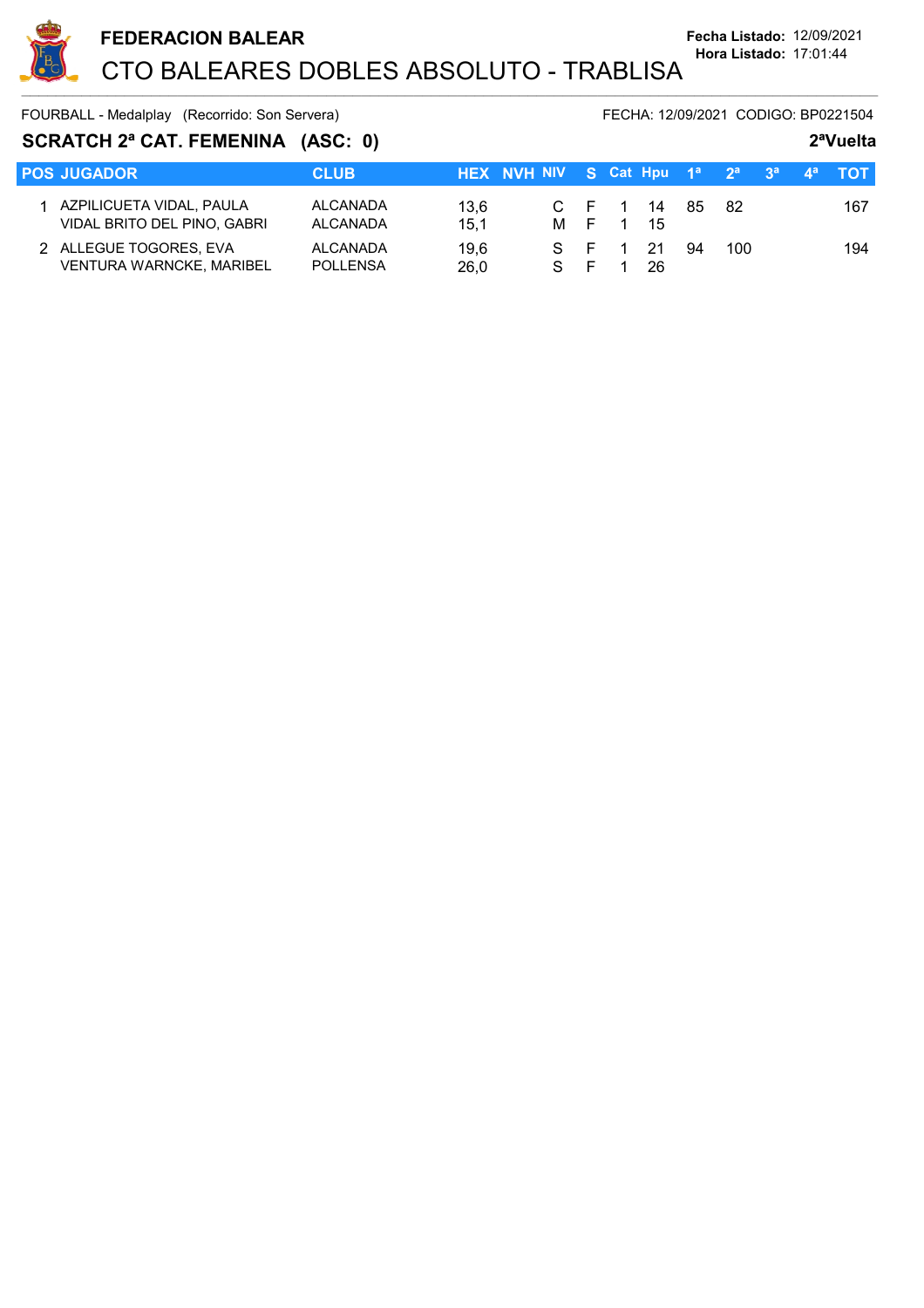

 $\sim$  . The contribution of the contribution of the contribution of the contribution of the contribution of the contribution of the contribution of the contribution of the contribution of the contribution of the contributi

FOURBALL - Medalplay (Recorrido: Son Servera) FECHA: 12/09/2021 CODIGO: BP0221504

| SCRATCH 2ª CAT. FEMENINA (ASC: 0) |                                                           |                             |              |                                                   |  |          |                |    |     |  | 2 <sup>a</sup> Vuelta |     |
|-----------------------------------|-----------------------------------------------------------|-----------------------------|--------------|---------------------------------------------------|--|----------|----------------|----|-----|--|-----------------------|-----|
|                                   | <b>POS JUGADOR</b>                                        | <b>CLUB</b>                 |              | HEX NVH NIV S Cat Hpu $1^a$ $2^a$ $3^a$ $4^a$ TOT |  |          |                |    |     |  |                       |     |
|                                   | AZPILICUETA VIDAL, PAULA<br>VIDAL BRITO DEL PINO, GABRI   | ALCANADA<br>ALCANADA        | 13.6<br>15.1 |                                                   |  | M F 1 15 | C F 1 14 85 82 |    |     |  |                       | 167 |
|                                   | 2 ALLEGUE TOGORES, EVA<br><b>VENTURA WARNCKE, MARIBEL</b> | ALCANADA<br><b>POLLENSA</b> | 19.6<br>26.0 | S F                                               |  | $S$ F 1  | 21<br>26       | 94 | 100 |  |                       | 194 |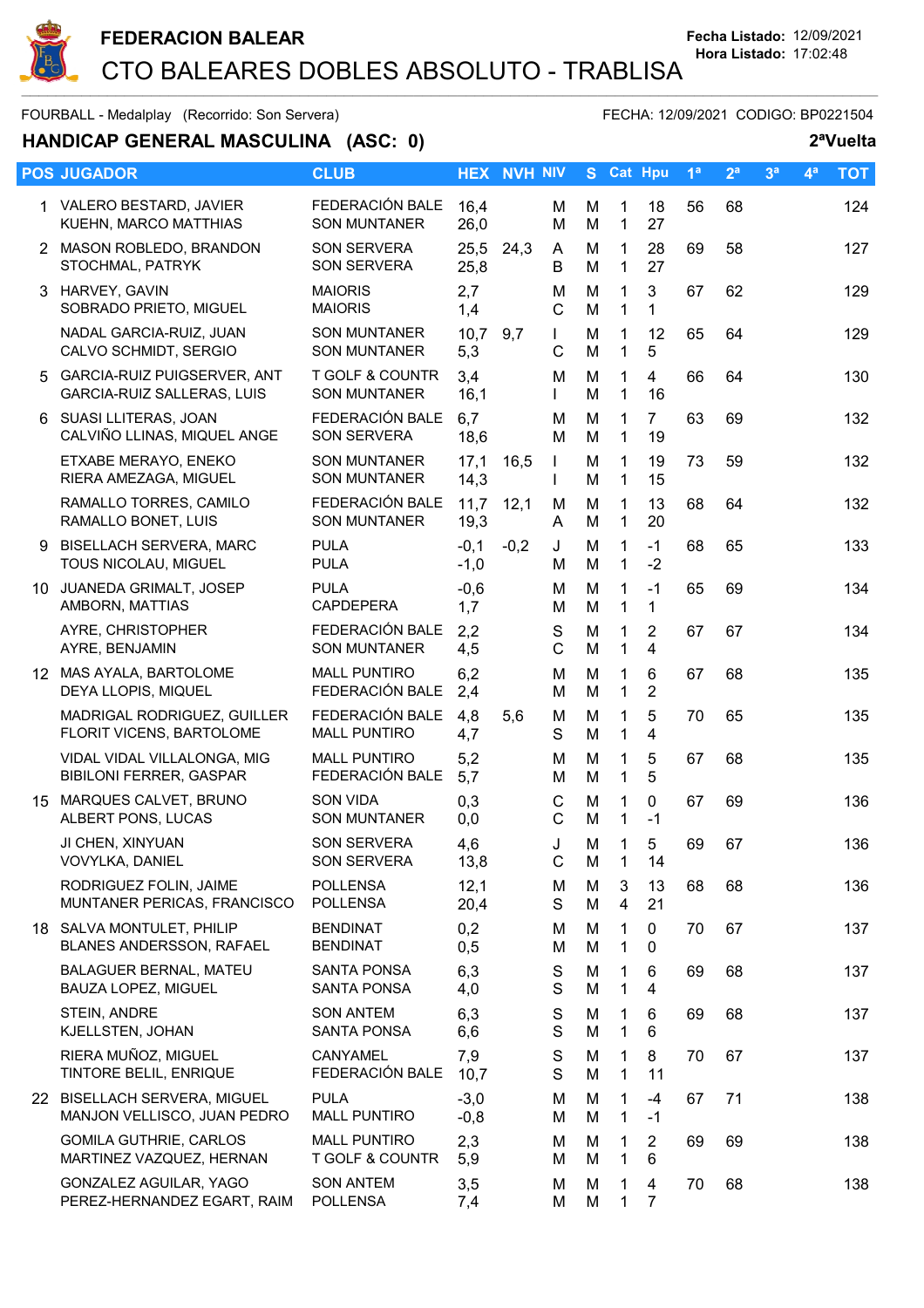

 $\sim$  . The contribution of the contribution of the contribution of the contribution of the contribution of the contribution of the contribution of the contribution of the contribution of the contribution of the contributi

#### FOURBALL - Medalplay (Recorrido: Son Servera) FECHA: 12/09/2021 CODIGO: BP0221504

## **HANDICAP GENERAL MASCULINA** (ASC: 0) 2<sup>a</sup>Vuelta

|    | <b>POS JUGADOR</b>                                               | <b>CLUB</b>                                       |                  | <b>HEX NVH NIV</b> |                              |        |                              | S Cat Hpu            | 1 <sup>a</sup> | 2 <sup>a</sup> | 3 <sup>a</sup> | 4 <sup>a</sup> | <b>TOT</b> |
|----|------------------------------------------------------------------|---------------------------------------------------|------------------|--------------------|------------------------------|--------|------------------------------|----------------------|----------------|----------------|----------------|----------------|------------|
|    | 1 VALERO BESTARD, JAVIER<br>KUEHN, MARCO MATTHIAS                | FEDERACIÓN BALE<br><b>SON MUNTANER</b>            | 16,4<br>26,0     |                    | M<br>M                       | М<br>M | $\mathbf{1}$<br>$\mathbf{1}$ | 18<br>27             | 56             | 68             |                |                | 124        |
|    | 2 MASON ROBLEDO, BRANDON<br>STOCHMAL, PATRYK                     | <b>SON SERVERA</b><br>SON SERVERA                 | 25,5<br>25,8     | 24,3               | A<br>B                       | M<br>M | $\mathbf{1}$<br>$\mathbf{1}$ | 28<br>27             | 69             | 58             |                |                | 127        |
|    | 3 HARVEY, GAVIN<br>SOBRADO PRIETO, MIGUEL                        | <b>MAIORIS</b><br><b>MAIORIS</b>                  | 2,7<br>1,4       |                    | M<br>$\mathsf{C}$            | M<br>M | 1<br>$\mathbf{1}$            | 3<br>1               | 67             | 62             |                |                | 129        |
|    | NADAL GARCIA-RUIZ, JUAN<br>CALVO SCHMIDT, SERGIO                 | <b>SON MUNTANER</b><br><b>SON MUNTANER</b>        | 10,7<br>5,3      | 9,7                | $\mathbf{L}$<br>C            | M<br>M | 1<br>$\mathbf{1}$            | 12<br>5              | 65             | 64             |                |                | 129        |
| 5. | <b>GARCIA-RUIZ PUIGSERVER, ANT</b><br>GARCIA-RUIZ SALLERAS, LUIS | <b>T GOLF &amp; COUNTR</b><br><b>SON MUNTANER</b> | 3,4<br>16,1      |                    | м<br>$\mathbf{L}$            | M<br>M | $\mathbf 1$<br>$\mathbf{1}$  | $\overline{4}$<br>16 | 66             | 64             |                |                | 130        |
|    | 6 SUASI LLITERAS, JOAN<br>CALVIÑO LLINAS, MIQUEL ANGE            | FEDERACIÓN BALE<br>SON SERVERA                    | 6,7<br>18,6      |                    | M<br>M                       | M<br>M | $\mathbf{1}$<br>$\mathbf{1}$ | $\overline{7}$<br>19 | 63             | 69             |                |                | 132        |
|    | ETXABE MERAYO, ENEKO<br>RIERA AMEZAGA, MIGUEL                    | <b>SON MUNTANER</b><br><b>SON MUNTANER</b>        | 17,1<br>14,3     | 16,5               | $\mathbf{I}$<br>$\mathbf{I}$ | M<br>M | 1<br>$\mathbf{1}$            | 19<br>15             | 73             | 59             |                |                | 132        |
|    | RAMALLO TORRES, CAMILO<br>RAMALLO BONET, LUIS                    | FEDERACIÓN BALE<br><b>SON MUNTANER</b>            | 11,7<br>19,3     | 12,1               | M<br>A                       | M<br>M | $\mathbf{1}$<br>$\mathbf{1}$ | 13<br>20             | 68             | 64             |                |                | 132        |
| 9  | <b>BISELLACH SERVERA, MARC</b><br>TOUS NICOLAU, MIGUEL           | <b>PULA</b><br><b>PULA</b>                        | $-0,1$<br>$-1,0$ | $-0,2$             | J<br>M                       | M<br>M | $\mathbf{1}$<br>$\mathbf{1}$ | $-1$<br>$-2$         | 68             | 65             |                |                | 133        |
|    | 10 JUANEDA GRIMALT, JOSEP<br>AMBORN, MATTIAS                     | <b>PULA</b><br><b>CAPDEPERA</b>                   | $-0,6$<br>1,7    |                    | M<br>M                       | M<br>M | 1<br>$\mathbf{1}$            | $-1$<br>$\mathbf{1}$ | 65             | 69             |                |                | 134        |
|    | AYRE, CHRISTOPHER<br>AYRE, BENJAMIN                              | FEDERACIÓN BALE<br><b>SON MUNTANER</b>            | 2,2<br>4,5       |                    | S<br>$\mathsf{C}$            | M<br>M | $\mathbf{1}$<br>$\mathbf{1}$ | $\overline{2}$<br>4  | 67             | 67             |                |                | 134        |
|    | 12 MAS AYALA, BARTOLOME<br>DEYA LLOPIS, MIQUEL                   | <b>MALL PUNTIRO</b><br>FEDERACIÓN BALE            | 6,2<br>2,4       |                    | M<br>м                       | M<br>M | 1<br>$\mathbf{1}$            | 6<br>$\overline{2}$  | 67             | 68             |                |                | 135        |
|    | MADRIGAL RODRIGUEZ, GUILLER<br>FLORIT VICENS, BARTOLOME          | FEDERACIÓN BALE<br><b>MALL PUNTIRO</b>            | 4,8<br>4,7       | 5,6                | м<br>S                       | M<br>M | $\mathbf 1$<br>$\mathbf{1}$  | 5<br>4               | 70             | 65             |                |                | 135        |
|    | VIDAL VIDAL VILLALONGA, MIG<br><b>BIBILONI FERRER, GASPAR</b>    | <b>MALL PUNTIRO</b><br>FEDERACIÓN BALE            | 5,2<br>5,7       |                    | M<br>M                       | M<br>M | 1<br>$\mathbf{1}$            | 5<br>5               | 67             | 68             |                |                | 135        |
|    | 15 MARQUES CALVET, BRUNO<br>ALBERT PONS, LUCAS                   | <b>SON VIDA</b><br><b>SON MUNTANER</b>            | 0,3<br>0,0       |                    | $\mathsf C$<br>C             | M<br>M | $\mathbf{1}$<br>$\mathbf{1}$ | $\mathbf 0$<br>$-1$  | 67             | 69             |                |                | 136        |
|    | JI CHEN, XINYUAN<br>VOVYLKA, DANIEL                              | <b>SON SERVERA</b><br>SON SERVERA                 | 4,6<br>13,8      |                    | J<br>C                       | M<br>M | 1<br>1                       | 5<br>14              | 69             | 67             |                |                | 136        |
|    | RODRIGUEZ FOLIN, JAIME<br>MUNTANER PERICAS, FRANCISCO            | <b>POLLENSA</b><br><b>POLLENSA</b>                | 12,1<br>20,4     |                    | М<br>S                       | М<br>M | 3<br>$\overline{4}$          | 13<br>21             | 68             | 68             |                |                | 136        |
|    | 18 SALVA MONTULET, PHILIP<br>BLANES ANDERSSON, RAFAEL            | <b>BENDINAT</b><br><b>BENDINAT</b>                | 0,2<br>0,5       |                    | м<br>M                       | M<br>M | 1<br>1                       | 0<br>0               | 70             | 67             |                |                | 137        |
|    | BALAGUER BERNAL, MATEU<br>BAUZA LOPEZ, MIGUEL                    | <b>SANTA PONSA</b><br><b>SANTA PONSA</b>          | 6,3<br>4,0       |                    | S<br>S                       | M<br>M | 1<br>$\mathbf{1}$            | 6<br>$\overline{4}$  | 69             | 68             |                |                | 137        |
|    | STEIN, ANDRE<br>KJELLSTEN, JOHAN                                 | <b>SON ANTEM</b><br>SANTA PONSA                   | 6,3<br>6,6       |                    | S<br>S                       | M<br>M | $\mathbf 1$<br>1             | 6<br>6               | 69             | 68             |                |                | 137        |
|    | RIERA MUÑOZ, MIGUEL<br>TINTORE BELIL, ENRIQUE                    | CANYAMEL<br>FEDERACIÓN BALE                       | 7,9<br>10,7      |                    | S<br>S                       | M<br>M | 1<br>$\mathbf{1}$            | 8<br>11              | 70             | 67             |                |                | 137        |
|    | 22 BISELLACH SERVERA, MIGUEL<br>MANJON VELLISCO, JUAN PEDRO      | <b>PULA</b><br><b>MALL PUNTIRO</b>                | $-3,0$<br>$-0,8$ |                    | M<br>м                       | M<br>M | 1<br>$\mathbf{1}$            | $-4$<br>$-1$         | 67             | 71             |                |                | 138        |
|    | <b>GOMILA GUTHRIE, CARLOS</b><br>MARTINEZ VAZQUEZ, HERNAN        | <b>MALL PUNTIRO</b><br>T GOLF & COUNTR            | 2,3<br>5,9       |                    | М<br>м                       | M<br>M | 1<br>$\mathbf{1}$            | $\overline{2}$<br>6  | 69             | 69             |                |                | 138        |
|    | GONZALEZ AGUILAR, YAGO<br>PEREZ-HERNANDEZ EGART, RAIM            | <b>SON ANTEM</b><br><b>POLLENSA</b>               | 3,5<br>7,4       |                    | M<br>Μ                       | M<br>M | 1<br>1                       | 4<br>$\overline{7}$  | 70             | 68             |                |                | 138        |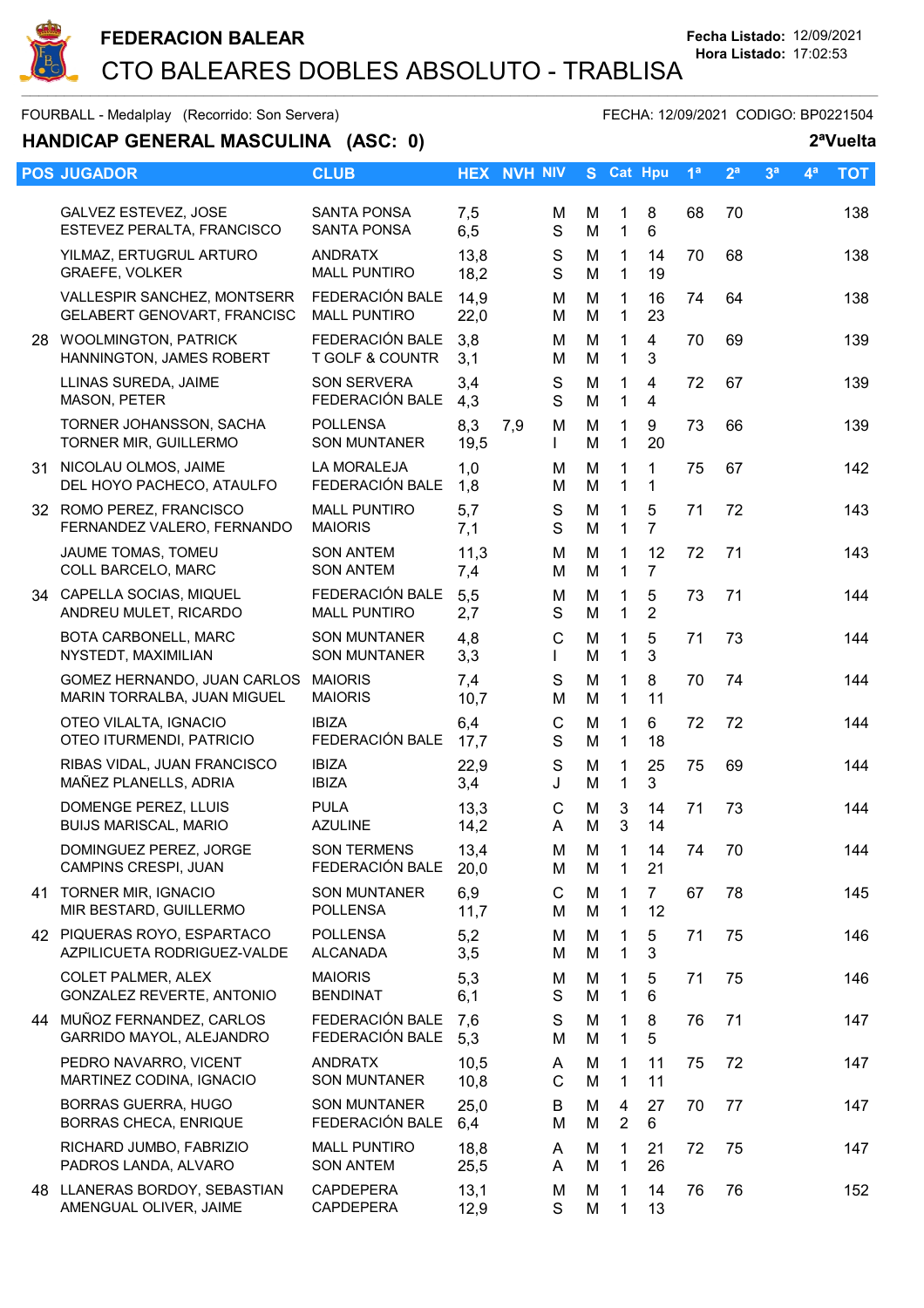

# **HANDICAP GENERAL MASCULINA** (ASC: 0) 2<sup>a</sup>Vuelta

| <b>POS JUGADOR</b>                                         | <b>CLUB</b>                              |              | <b>HEX NVH NIV</b> |                   | S.     |                     | <b>Cat Hpu</b>                   | 1 <sup>a</sup> | 2 <sup>a</sup> | 3 <sup>a</sup> | 4 <sup>a</sup> | <b>TOT</b> |
|------------------------------------------------------------|------------------------------------------|--------------|--------------------|-------------------|--------|---------------------|----------------------------------|----------------|----------------|----------------|----------------|------------|
| GALVEZ ESTEVEZ, JOSE<br>ESTEVEZ PERALTA, FRANCISCO         | <b>SANTA PONSA</b><br><b>SANTA PONSA</b> | 7,5<br>6,5   |                    | м<br>S            | м<br>M | 1<br>$\mathbf 1$    | 8<br>6                           | 68             | 70             |                |                | 138        |
| YILMAZ, ERTUGRUL ARTURO<br>GRAEFE, VOLKER                  | <b>ANDRATX</b><br><b>MALL PUNTIRO</b>    | 13,8<br>18,2 |                    | S<br>S            | M<br>M | 1<br>1              | 14<br>19                         | 70             | 68             |                |                | 138        |
| VALLESPIR SANCHEZ, MONTSERR<br>GELABERT GENOVART, FRANCISC | FEDERACIÓN BALE<br><b>MALL PUNTIRO</b>   | 14,9<br>22,0 |                    | M<br>м            | M<br>M | 1<br>$\mathbf 1$    | 16<br>23                         | 74             | 64             |                |                | 138        |
| 28 WOOLMINGTON, PATRICK<br>HANNINGTON, JAMES ROBERT        | FEDERACIÓN BALE<br>T GOLF & COUNTR       | 3,8<br>3,1   |                    | м<br>М            | M<br>M | 1<br>1              | $\overline{4}$<br>3              | 70             | 69             |                |                | 139        |
| LLINAS SUREDA, JAIME<br>MASON, PETER                       | <b>SON SERVERA</b><br>FEDERACIÓN BALE    | 3,4<br>4,3   |                    | S<br>S            | M<br>M | 1<br>$\mathbf{1}$   | $\overline{4}$<br>$\overline{4}$ | 72             | 67             |                |                | 139        |
| TORNER JOHANSSON, SACHA<br>TORNER MIR, GUILLERMO           | <b>POLLENSA</b><br><b>SON MUNTANER</b>   | 8,3<br>19,5  | 7,9                | M<br>L            | M<br>M | 1<br>$\mathbf 1$    | 9<br>20                          | 73             | 66             |                |                | 139        |
| 31 NICOLAU OLMOS, JAIME<br>DEL HOYO PACHECO, ATAULFO       | LA MORALEJA<br>FEDERACIÓN BALE           | 1,0<br>1,8   |                    | м<br>M            | M<br>M | 1<br>$\mathbf{1}$   | 1<br>1                           | 75             | 67             |                |                | 142        |
| 32 ROMO PEREZ, FRANCISCO<br>FERNANDEZ VALERO, FERNANDO     | <b>MALL PUNTIRO</b><br><b>MAIORIS</b>    | 5,7<br>7,1   |                    | S<br>S            | M<br>M | 1<br>1              | 5<br>$\overline{7}$              | 71             | 72             |                |                | 143        |
| JAUME TOMAS, TOMEU<br>COLL BARCELO, MARC                   | <b>SON ANTEM</b><br><b>SON ANTEM</b>     | 11,3<br>7,4  |                    | M<br>М            | M<br>M | 1<br>$\mathbf{1}$   | 12<br>$\overline{7}$             | 72             | 71             |                |                | 143        |
| 34 CAPELLA SOCIAS, MIQUEL<br>ANDREU MULET, RICARDO         | FEDERACIÓN BALE<br><b>MALL PUNTIRO</b>   | 5,5<br>2,7   |                    | M<br>S            | M<br>M | 1<br>1              | 5<br>$\overline{2}$              | 73             | 71             |                |                | 144        |
| BOTA CARBONELL, MARC<br>NYSTEDT, MAXIMILIAN                | <b>SON MUNTANER</b><br>SON MUNTANER      | 4,8<br>3,3   |                    | C<br>L            | M<br>M | 1<br>$\mathbf{1}$   | 5<br>3                           | 71             | 73             |                |                | 144        |
| GOMEZ HERNANDO, JUAN CARLOS<br>MARIN TORRALBA, JUAN MIGUEL | <b>MAIORIS</b><br><b>MAIORIS</b>         | 7,4<br>10,7  |                    | S<br>M            | M<br>M | 1<br>$\mathbf{1}$   | 8<br>11                          | 70             | 74             |                |                | 144        |
| OTEO VILALTA, IGNACIO<br>OTEO ITURMENDI, PATRICIO          | <b>IBIZA</b><br>FEDERACIÓN BALE          | 6,4<br>17,7  |                    | $\mathsf{C}$<br>S | M<br>M | 1<br>1              | 6<br>18                          | 72             | 72             |                |                | 144        |
| RIBAS VIDAL, JUAN FRANCISCO<br>MAÑEZ PLANELLS, ADRIA       | <b>IBIZA</b><br><b>IBIZA</b>             | 22,9<br>3,4  |                    | S<br>J            | M<br>M | 1<br>$\mathbf 1$    | 25<br>3                          | 75             | 69             |                |                | 144        |
| DOMENGE PEREZ, LLUIS<br><b>BUIJS MARISCAL, MARIO</b>       | <b>PULA</b><br><b>AZULINE</b>            | 13,3<br>14,2 |                    | $\mathsf{C}$<br>A | M<br>M | 3<br>$\mathbf{3}$   | 14<br>14                         | 71             | 73             |                |                | 144        |
| DOMINGUEZ PEREZ, JORGE<br>CAMPINS CRESPI, JUAN             | <b>SON TERMENS</b><br>FEDERACIÓN BALE    | 13,4<br>20,0 |                    | М<br>М            | м<br>M | 1<br>1              | 14<br>21                         | 74             | 70             |                |                | 144        |
| 41 TORNER MIR, IGNACIO<br>MIR BESTARD, GUILLERMO           | <b>SON MUNTANER</b><br>POLLENSA          | 6,9<br>11,7  |                    | C<br>м            | M<br>M | 1<br>1              | $\overline{7}$<br>12             | 67             | 78             |                |                | 145        |
| 42 PIQUERAS ROYO, ESPARTACO<br>AZPILICUETA RODRIGUEZ-VALDE | <b>POLLENSA</b><br>ALCANADA              | 5,2<br>3,5   |                    | м<br>м            | M<br>M | 1<br>1              | 5<br>$\mathfrak{S}$              | 71             | 75             |                |                | 146        |
| <b>COLET PALMER, ALEX</b><br>GONZALEZ REVERTE, ANTONIO     | <b>MAIORIS</b><br><b>BENDINAT</b>        | 5,3<br>6,1   |                    | M<br>S            | M<br>M | 1<br>1              | 5<br>6                           | 71             | 75             |                |                | 146        |
| 44 MUÑOZ FERNANDEZ, CARLOS<br>GARRIDO MAYOL, ALEJANDRO     | FEDERACIÓN BALE<br>FEDERACIÓN BALE       | 7,6<br>5,3   |                    | S<br>M            | M<br>M | 1<br>1              | 8<br>5                           | 76             | 71             |                |                | 147        |
| PEDRO NAVARRO, VICENT<br>MARTINEZ CODINA, IGNACIO          | <b>ANDRATX</b><br><b>SON MUNTANER</b>    | 10,5<br>10,8 |                    | A<br>$\mathsf{C}$ | M<br>M | 1<br>$\mathbf 1$    | 11<br>11                         | 75             | 72             |                |                | 147        |
| <b>BORRAS GUERRA, HUGO</b><br>BORRAS CHECA, ENRIQUE        | <b>SON MUNTANER</b><br>FEDERACIÓN BALE   | 25,0<br>6,4  |                    | B<br>м            | M<br>M | 4<br>$\overline{2}$ | 27<br>6                          | 70             | 77             |                |                | 147        |
| RICHARD JUMBO, FABRIZIO<br>PADROS LANDA, ALVARO            | <b>MALL PUNTIRO</b><br><b>SON ANTEM</b>  | 18,8<br>25,5 |                    | A<br>A            | M<br>M | 1<br>1              | 21<br>26                         | 72             | 75             |                |                | 147        |
| 48 LLANERAS BORDOY, SEBASTIAN<br>AMENGUAL OLIVER, JAIME    | CAPDEPERA<br>CAPDEPERA                   | 13,1<br>12,9 |                    | М<br>S            | M<br>M | 1<br>1              | 14<br>13                         | 76             | 76             |                |                | 152        |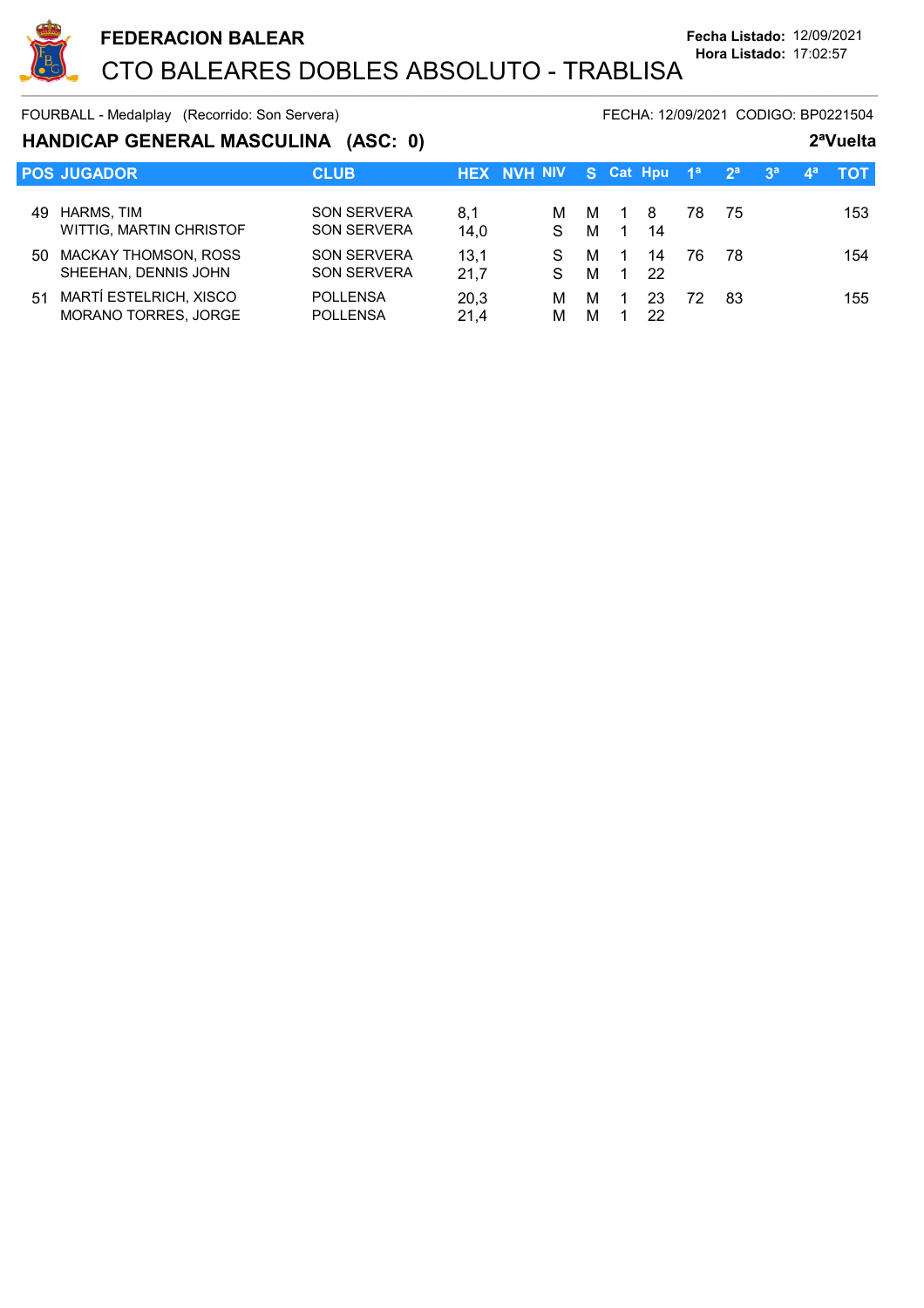

### **HANDICAP GENERAL MASCULINA (ASC: 0) 2ªVuelta**

|     | <b>POS JUGADOR</b>                                  | <b>CLUB</b>                              |              | <b>HEX NVH NIV S Cat Hpu</b> |        |                |          | — 1ª ∶ | 2 <sup>a</sup> | 3 <sup>a</sup> | $\mathbf{A}^{\mathbf{a}}$ | - тот- |
|-----|-----------------------------------------------------|------------------------------------------|--------------|------------------------------|--------|----------------|----------|--------|----------------|----------------|---------------------------|--------|
| 49. | HARMS, TIM<br>WITTIG, MARTIN CHRISTOF               | <b>SON SERVERA</b><br><b>SON SERVERA</b> | 8.1<br>14,0  | м<br>S.                      | M<br>м | $\sim$ 1<br>-1 | -8<br>14 | 78     | -75            |                |                           | 153    |
| 50  | <b>MACKAY THOMSON, ROSS</b><br>SHEEHAN, DENNIS JOHN | <b>SON SERVERA</b><br><b>SON SERVERA</b> | 13,1<br>21.7 | S.                           | м<br>м | $\mathbf{1}$   | 14<br>22 | 76     | -78            |                |                           | 154    |
| 51  | MARTÍ ESTELRICH, XISCO<br>MORANO TORRES, JORGE      | <b>POLLENSA</b><br><b>POLLENSA</b>       | 20.3<br>21.4 | м<br>М                       | м<br>м |                | 23<br>22 | 72     | 83             |                |                           | 155    |